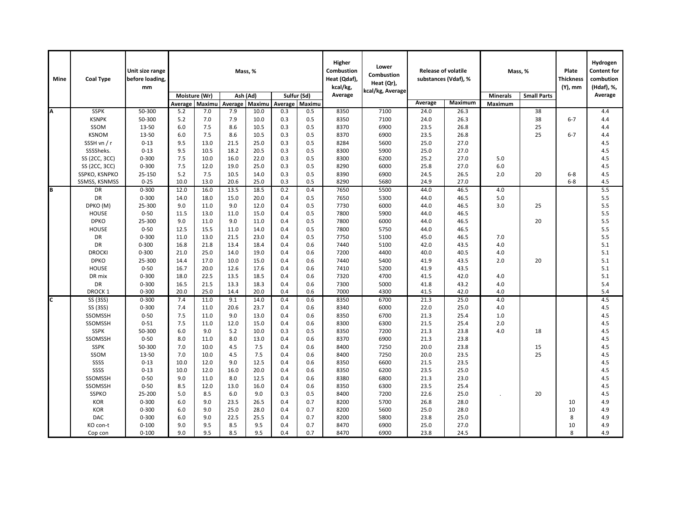| <b>Mine</b> | <b>Coal Type</b>         | Unit size range<br>before loading,<br>mm | Mass, %      |                           |              |              |            |            | Higher<br>Combustion<br>Heat (Qdaf),<br>kcal/kg, | Lower<br><b>Combustion</b><br>Heat (Qr),<br>kcal/kg, Average | <b>Release of volatile</b><br>substances (Vdaf), % |                 | Mass, %            |    | Plate<br><b>Thickness</b><br>(Y), mm | Hydrogen<br><b>Content for</b><br>combution<br>(Hdaf), %, |
|-------------|--------------------------|------------------------------------------|--------------|---------------------------|--------------|--------------|------------|------------|--------------------------------------------------|--------------------------------------------------------------|----------------------------------------------------|-----------------|--------------------|----|--------------------------------------|-----------------------------------------------------------|
|             |                          |                                          |              | Moisture (Wr)<br>Ash (Ad) |              | Sulfur (Sd)  |            | Average    |                                                  |                                                              |                                                    | <b>Minerals</b> | <b>Small Parts</b> |    | Average                              |                                                           |
|             |                          |                                          | Average      | Maximu                    | Average      | Maximu       | Average    | Maximu     |                                                  |                                                              | Average                                            | Maximum         | Maximum            |    |                                      |                                                           |
| Δ           | <b>SSPK</b>              | 50-300                                   | 5.2          | 7.0                       | 7.9          | 10.0         | 0.3        | 0.5        | 8350                                             | 7100                                                         | 24.0                                               | 26.3            |                    | 38 |                                      | 4.4                                                       |
|             | <b>KSNPK</b>             | 50-300                                   | 5.2          | 7.0                       | 7.9          | 10.0         | 0.3        | 0.5        | 8350                                             | 7100                                                         | 24.0                                               | 26.3            |                    | 38 | $6 - 7$                              | 4.4                                                       |
|             | SSOM                     | 13-50                                    | 6.0          | 7.5                       | 8.6          | 10.5         | 0.3        | 0.5        | 8370                                             | 6900                                                         | 23.5                                               | 26.8            |                    | 25 |                                      | 4.4                                                       |
|             | <b>KSNOM</b>             | 13-50                                    | 6.0          | 7.5                       | 8.6          | 10.5         | 0.3        | 0.5        | 8370                                             | 6900                                                         | 23.5                                               | 26.8            |                    | 25 | $6 - 7$                              | 4.4                                                       |
|             | SSSH vn / r              | $0 - 13$                                 | 9.5          | 13.0                      | 21.5         | 25.0         | 0.3        | 0.5        | 8284                                             | 5600                                                         | 25.0                                               | 27.0            |                    |    |                                      | 4.5                                                       |
|             | SSSSheks.                | $0 - 13$                                 | 9.5          | 10.5                      | 18.2         | 20.5         | 0.3        | 0.5        | 8300                                             | 5900                                                         | 25.0                                               | 27.0            |                    |    |                                      | 4.5                                                       |
|             | SS (2CC, 3CC)            | $0 - 300$                                | 7.5          | 10.0                      | 16.0         | 22.0         | 0.3        | 0.5        | 8300                                             | 6200                                                         | 25.2                                               | 27.0            | 5.0                |    |                                      | 4.5                                                       |
|             | SS (2CC, 3CC)            | $0 - 300$                                | 7.5          | 12.0                      | 19.0         | 25.0         | 0.3        | 0.5        | 8290                                             | 6000                                                         | 25.8                                               | 27.0            | 6.0                |    |                                      | 4.5                                                       |
|             | SSPKO, KSNPKO            | 25-150                                   | 5.2          | 7.5                       | 10.5         | 14.0         | 0.3        | 0.5        | 8390                                             | 6900                                                         | 24.5                                               | 26.5            | 2.0                | 20 | $6-8$                                | 4.5                                                       |
|             | SSMSS, KSNMSS            | $0 - 25$                                 | 10.0         | 13.0                      | 20.6         | 25.0         | 0.3        | 0.5        | 8290                                             | 5680                                                         | 24.9                                               | 27.0            |                    |    | $6-8$                                | 4.5                                                       |
| B           | DR                       | $0 - 300$                                | 12.0         | 16.0                      | 13.5         | 18.5         | 0.2        | 0.4        | 7650                                             | 5500                                                         | 44.0                                               | 46.5            | 4.0                |    |                                      | 5.5                                                       |
|             | <b>DR</b>                | $0 - 300$                                | 14.0         | 18.0                      | 15.0         | 20.0         | 0.4        | 0.5        | 7650                                             | 5300                                                         | 44.0                                               | 46.5            | 5.0                |    |                                      | 5.5                                                       |
|             | DPKO (M)                 | 25-300                                   | 9.0          | 11.0                      | 9.0          | 12.0         | 0.4        | 0.5        | 7730                                             | 6000                                                         | 44.0                                               | 46.5            | 3.0                | 25 |                                      | 5.5                                                       |
|             | <b>HOUSE</b>             | $0 - 50$                                 | 11.5         | 13.0                      | 11.0         | 15.0         | 0.4        | 0.5        | 7800                                             | 5900                                                         | 44.0                                               | 46.5            |                    |    |                                      | 5.5                                                       |
|             | <b>DPKO</b>              | 25-300                                   | 9.0          | 11.0                      | 9.0          | 11.0         | 0.4        | 0.5        | 7800                                             | 6000                                                         | 44.0                                               | 46.5            |                    | 20 |                                      | 5.5                                                       |
|             | <b>HOUSE</b>             | $0 - 50$                                 | 12.5         | 15.5                      | 11.0         | 14.0         | 0.4        | 0.5        | 7800                                             | 5750                                                         | 44.0                                               | 46.5            |                    |    |                                      | 5.5                                                       |
|             | DR                       | $0 - 300$                                | 11.0         | 13.0                      | 21.5         | 23.0         | 0.4        | 0.5        | 7750                                             | 5100                                                         | 45.0                                               | 46.5            | 7.0                |    |                                      | 5.5                                                       |
|             | <b>DR</b>                | $0 - 300$                                | 16.8         | 21.8                      | 13.4         | 18.4         | 0.4        | 0.6        | 7440                                             | 5100                                                         | 42.0                                               | 43.5            | 4.0                |    |                                      | 5.1                                                       |
|             | <b>DROCKI</b>            | $0 - 300$                                | 21.0         | 25.0                      | 14.0         | 19.0         | 0.4        | 0.6        | 7200                                             | 4400                                                         | 40.0                                               | 40.5            | 4.0                |    |                                      | 5.1                                                       |
|             | <b>DPKO</b>              | 25-300                                   | 14.4         | 17.0                      | 10.0         | 15.0         | 0.4        | 0.6        | 7440                                             | 5400                                                         | 41.9                                               | 43.5            | 2.0                | 20 |                                      | 5.1                                                       |
|             | <b>HOUSE</b>             | $0 - 50$                                 | 16.7         | 20.0                      | 12.6         | 17.6         | 0.4        | 0.6        | 7410                                             | 5200                                                         | 41.9                                               | 43.5            |                    |    |                                      | 5.1                                                       |
|             | DR mix                   | $0 - 300$                                | 18.0         | 22.5                      | 13.5         | 18.5         | 0.4        | 0.6        | 7320                                             | 4700                                                         | 41.5                                               | 42.0            | 4.0                |    |                                      | 5.1                                                       |
|             | DR<br>DROCK <sub>1</sub> | $0 - 300$<br>$0 - 300$                   | 16.5<br>20.0 | 21.5<br>25.0              | 13.3<br>14.4 | 18.3<br>20.0 | 0.4<br>0.4 | 0.6<br>0.6 | 7300<br>7000                                     | 5000<br>4300                                                 | 41.8<br>41.5                                       | 43.2<br>42.0    | 4.0<br>4.0         |    |                                      | 5.4<br>5.4                                                |
| C           |                          | $0 - 300$                                | 7.4          | 11.0                      | 9.1          | 14.0         | 0.4        | 0.6        | 8350                                             | 6700                                                         | 21.3                                               | 25.0            | 4.0                |    |                                      | 4.5                                                       |
|             | SS (3SS)<br>SS (3SS)     | $0 - 300$                                | 7.4          | 11.0                      | 20.6         | 23.7         | 0.4        | 0.6        | 8340                                             | 6000                                                         | 22.0                                               | 25.0            | 4.0                |    |                                      | 4.5                                                       |
|             | SSOMSSH                  | $0 - 50$                                 | 7.5          | 11.0                      | 9.0          | 13.0         | 0.4        | 0.6        | 8350                                             | 6700                                                         | 21.3                                               | 25.4            | 1.0                |    |                                      | 4.5                                                       |
|             | SSOMSSH                  | $0 - 51$                                 | 7.5          | 11.0                      | 12.0         | 15.0         | 0.4        | 0.6        | 8300                                             | 6300                                                         | 21.5                                               | 25.4            | 2.0                |    |                                      | 4.5                                                       |
|             | <b>SSPK</b>              | 50-300                                   | 6.0          | 9.0                       | 5.2          | 10.0         | 0.3        | 0.5        | 8350                                             | 7200                                                         | 21.3                                               | 23.8            | 4.0                | 18 |                                      | 4.5                                                       |
|             | SSOMSSH                  | $0 - 50$                                 | 8.0          | 11.0                      | 8.0          | 13.0         | 0.4        | 0.6        | 8370                                             | 6900                                                         | 21.3                                               | 23.8            |                    |    |                                      | 4.5                                                       |
|             | <b>SSPK</b>              | 50-300                                   | 7.0          | 10.0                      | 4.5          | 7.5          | 0.4        | 0.6        | 8400                                             | 7250                                                         | 20.0                                               | 23.8            |                    | 15 |                                      | 4.5                                                       |
|             | SSOM                     | 13-50                                    | 7.0          | 10.0                      | 4.5          | 7.5          | 0.4        | 0.6        | 8400                                             | 7250                                                         | 20.0                                               | 23.5            |                    | 25 |                                      | 4.5                                                       |
|             | SSSS                     | $0 - 13$                                 | 10.0         | 12.0                      | 9.0          | 12.5         | 0.4        | 0.6        | 8350                                             | 6600                                                         | 21.5                                               | 23.5            |                    |    |                                      | 4.5                                                       |
|             | SSSS                     | $0 - 13$                                 | 10.0         | 12.0                      | 16.0         | 20.0         | 0.4        | 0.6        | 8350                                             | 6200                                                         | 23.5                                               | 25.0            |                    |    |                                      | 4.5                                                       |
|             | SSOMSSH                  | $0 - 50$                                 | 9.0          | 11.0                      | 8.0          | 12.5         | 0.4        | 0.6        | 8380                                             | 6800                                                         | 21.3                                               | 23.0            |                    |    |                                      | 4.5                                                       |
|             | SSOMSSH                  | $0 - 50$                                 | 8.5          | 12.0                      | 13.0         | 16.0         | 0.4        | 0.6        | 8350                                             | 6300                                                         | 23.5                                               | 25.4            |                    |    |                                      | 4.5                                                       |
|             | <b>SSPKO</b>             | 25-200                                   | 5.0          | 8.5                       | 6.0          | 9.0          | 0.3        | 0.5        | 8400                                             | 7200                                                         | 22.6                                               | 25.0            |                    | 20 |                                      | 4.5                                                       |
|             | KOR                      | $0 - 300$                                | 6.0          | 9.0                       | 23.5         | 26.5         | 0.4        | 0.7        | 8200                                             | 5700                                                         | 26.8                                               | 28.0            |                    |    | 10                                   | 4.9                                                       |
|             | KOR                      | $0 - 300$                                | 6.0          | 9.0                       | 25.0         | 28.0         | 0.4        | 0.7        | 8200                                             | 5600                                                         | 25.0                                               | 28.0            |                    |    | 10                                   | 4.9                                                       |
|             | <b>DAC</b>               | $0 - 300$                                | 6.0          | 9.0                       | 22.5         | 25.5         | 0.4        | 0.7        | 8200                                             | 5800                                                         | 23.8                                               | 25.0            |                    |    | 8                                    | 4.9                                                       |
|             | KO con-t                 | $0 - 100$                                | 9.0          | 9.5                       | 8.5          | 9.5          | 0.4        | 0.7        | 8470                                             | 6900                                                         | 25.0                                               | 27.0            |                    |    | 10                                   | 4.9                                                       |
|             | Cop con                  | $0 - 100$                                | 9.0          | 9.5                       | 8.5          | 9.5          | 0.4        | 0.7        | 8470                                             | 6900                                                         | 23.8                                               | 24.5            |                    |    | 8                                    | 4.9                                                       |